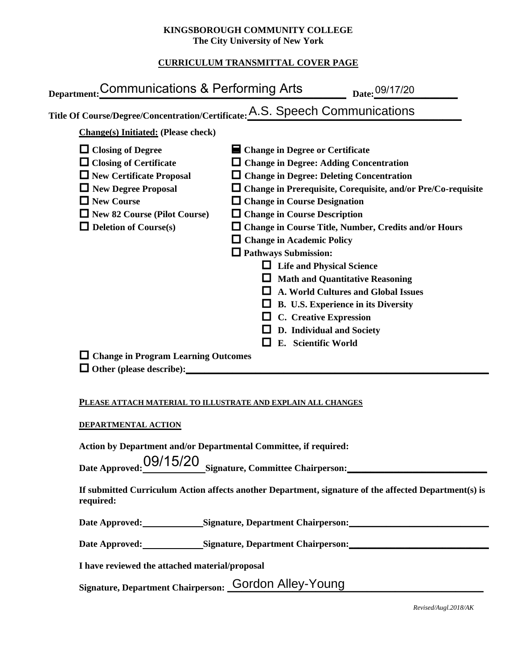#### **KINGSBOROUGH COMMUNITY COLLEGE The City University of New York**

## **CURRICULUM TRANSMITTAL COVER PAGE**

| Department: Communications & Performing Arts                                                                                                                                                             | Date: 09/17/20                                                                                                                                                                                                                                                                                                                                                                                                     |
|----------------------------------------------------------------------------------------------------------------------------------------------------------------------------------------------------------|--------------------------------------------------------------------------------------------------------------------------------------------------------------------------------------------------------------------------------------------------------------------------------------------------------------------------------------------------------------------------------------------------------------------|
|                                                                                                                                                                                                          | Title Of Course/Degree/Concentration/Certificate: A.S. Speech Communications                                                                                                                                                                                                                                                                                                                                       |
| <b>Change(s)</b> Initiated: (Please check)                                                                                                                                                               |                                                                                                                                                                                                                                                                                                                                                                                                                    |
| $\Box$ Closing of Degree<br>$\Box$ Closing of Certificate<br>New Certificate Proposal<br>New Degree Proposal<br>$\Box$ New Course<br>$\Box$ New 82 Course (Pilot Course)<br>$\Box$ Deletion of Course(s) | ■ Change in Degree or Certificate<br>□ Change in Degree: Adding Concentration<br>$\Box$ Change in Degree: Deleting Concentration<br>$\Box$ Change in Prerequisite, Corequisite, and/or Pre/Co-requisite<br>$\Box$ Change in Course Designation<br>$\Box$ Change in Course Description<br>□ Change in Course Title, Number, Credits and/or Hours<br>$\Box$ Change in Academic Policy<br>$\Box$ Pathways Submission: |
| $\Box$ Change in Program Learning Outcomes                                                                                                                                                               | $\Box$ Life and Physical Science<br>Math and Quantitative Reasoning<br>$\Box$ A. World Cultures and Global Issues<br>$\Box$ B. U.S. Experience in its Diversity<br>$\Box$ C. Creative Expression<br>D. Individual and Society<br>E. Scientific World                                                                                                                                                               |
| <u>PLEASE ATTACH MATERIAL TO ILLUSTRATE AND EXPLAIN ALL CHANGES</u>                                                                                                                                      |                                                                                                                                                                                                                                                                                                                                                                                                                    |
| DEPARTMENTAL ACTION                                                                                                                                                                                      |                                                                                                                                                                                                                                                                                                                                                                                                                    |
| Action by Department and/or Departmental Committee, if required:<br>Date Approved: 09/15/20                                                                                                              |                                                                                                                                                                                                                                                                                                                                                                                                                    |
| required:                                                                                                                                                                                                | If submitted Curriculum Action affects another Department, signature of the affected Department(s) is                                                                                                                                                                                                                                                                                                              |
|                                                                                                                                                                                                          | Date Approved: Signature, Department Chairperson: ______________________________                                                                                                                                                                                                                                                                                                                                   |
|                                                                                                                                                                                                          | Date Approved: Signature, Department Chairperson: Natural Material Chairperson and Sales Approved:                                                                                                                                                                                                                                                                                                                 |
| I have reviewed the attached material/proposal                                                                                                                                                           |                                                                                                                                                                                                                                                                                                                                                                                                                    |
| Signature. Department Chairperson: Gordon Alley-Young                                                                                                                                                    |                                                                                                                                                                                                                                                                                                                                                                                                                    |

Signature, Department Chairperson: COLQOIL AIICY - YOUITG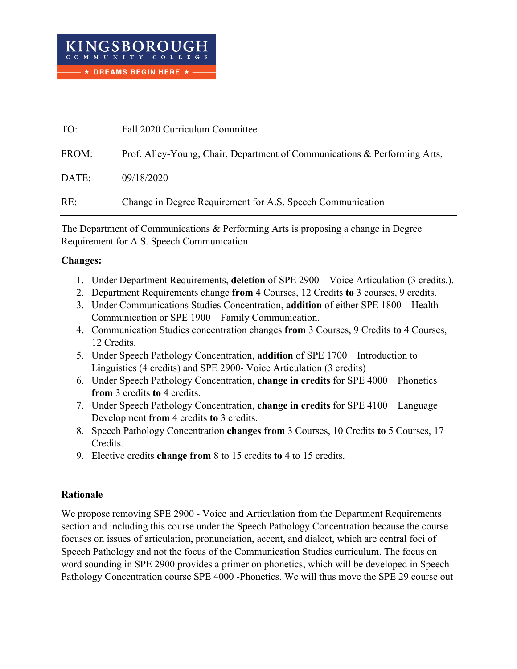| TO:   | Fall 2020 Curriculum Committee                                            |
|-------|---------------------------------------------------------------------------|
| FROM: | Prof. Alley-Young, Chair, Department of Communications & Performing Arts, |
| DATE: | 09/18/2020                                                                |
| RE:   | Change in Degree Requirement for A.S. Speech Communication                |

The Department of Communications & Performing Arts is proposing a change in Degree Requirement for A.S. Speech Communication

#### **Changes:**

- 1. Under Department Requirements, **deletion** of SPE 2900 Voice Articulation (3 credits.).
- 2. Department Requirements change **from** 4 Courses, 12 Credits **to** 3 courses, 9 credits.
- 3. Under Communications Studies Concentration, **addition** of either SPE 1800 Health Communication or SPE 1900 – Family Communication.
- 4. Communication Studies concentration changes **from** 3 Courses, 9 Credits **to** 4 Courses, 12 Credits.
- 5. Under Speech Pathology Concentration, **addition** of SPE 1700 Introduction to Linguistics (4 credits) and SPE 2900- Voice Articulation (3 credits)
- 6. Under Speech Pathology Concentration, **change in credits** for SPE 4000 Phonetics **from** 3 credits **to** 4 credits.
- 7. Under Speech Pathology Concentration, **change in credits** for SPE 4100 Language Development **from** 4 credits **to** 3 credits.
- 8. Speech Pathology Concentration **changes from** 3 Courses, 10 Credits **to** 5 Courses, 17 **Credits**
- 9. Elective credits **change from** 8 to 15 credits **to** 4 to 15 credits.

### **Rationale**

We propose removing SPE 2900 - Voice and Articulation from the Department Requirements section and including this course under the Speech Pathology Concentration because the course focuses on issues of articulation, pronunciation, accent, and dialect, which are central foci of Speech Pathology and not the focus of the Communication Studies curriculum. The focus on word sounding in SPE 2900 provides a primer on phonetics, which will be developed in Speech Pathology Concentration course SPE 4000 -Phonetics. We will thus move the SPE 29 course out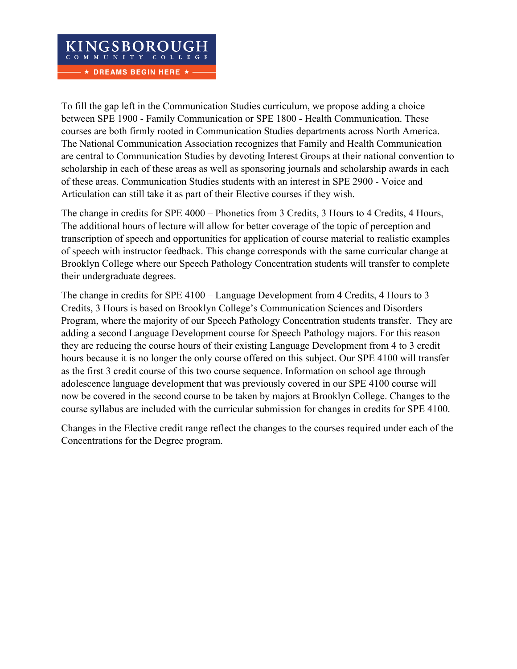To fill the gap left in the Communication Studies curriculum, we propose adding a choice between SPE 1900 - Family Communication or SPE 1800 - Health Communication. These courses are both firmly rooted in Communication Studies departments across North America. The National Communication Association recognizes that Family and Health Communication are central to Communication Studies by devoting Interest Groups at their national convention to scholarship in each of these areas as well as sponsoring journals and scholarship awards in each of these areas. Communication Studies students with an interest in SPE 2900 - Voice and Articulation can still take it as part of their Elective courses if they wish.

The change in credits for SPE 4000 – Phonetics from 3 Credits, 3 Hours to 4 Credits, 4 Hours, The additional hours of lecture will allow for better coverage of the topic of perception and transcription of speech and opportunities for application of course material to realistic examples of speech with instructor feedback. This change corresponds with the same curricular change at Brooklyn College where our Speech Pathology Concentration students will transfer to complete their undergraduate degrees.

The change in credits for SPE 4100 – Language Development from 4 Credits, 4 Hours to 3 Credits, 3 Hours is based on Brooklyn College's Communication Sciences and Disorders Program, where the majority of our Speech Pathology Concentration students transfer. They are adding a second Language Development course for Speech Pathology majors. For this reason they are reducing the course hours of their existing Language Development from 4 to 3 credit hours because it is no longer the only course offered on this subject. Our SPE 4100 will transfer as the first 3 credit course of this two course sequence. Information on school age through adolescence language development that was previously covered in our SPE 4100 course will now be covered in the second course to be taken by majors at Brooklyn College. Changes to the course syllabus are included with the curricular submission for changes in credits for SPE 4100.

Changes in the Elective credit range reflect the changes to the courses required under each of the Concentrations for the Degree program.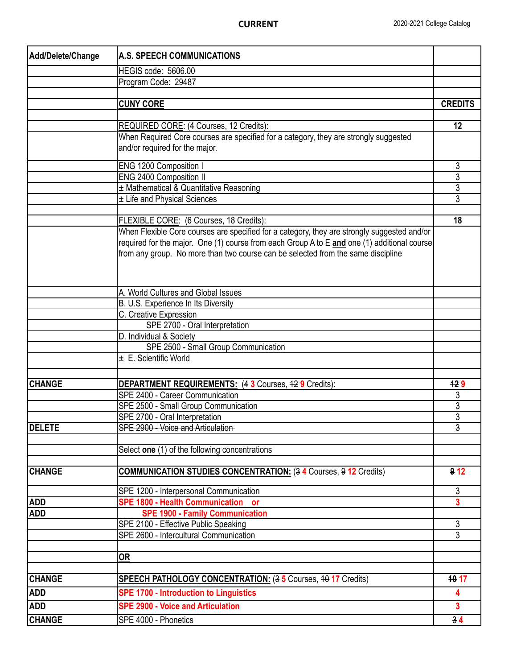| Add/Delete/Change | <b>A.S. SPEECH COMMUNICATIONS</b>                                                           |                 |  |  |
|-------------------|---------------------------------------------------------------------------------------------|-----------------|--|--|
|                   | HEGIS code: 5606.00                                                                         |                 |  |  |
|                   | Program Code: 29487                                                                         |                 |  |  |
|                   |                                                                                             |                 |  |  |
|                   | <b>CUNY CORE</b>                                                                            | <b>CREDITS</b>  |  |  |
|                   |                                                                                             |                 |  |  |
|                   | REQUIRED CORE: (4 Courses, 12 Credits):                                                     | 12              |  |  |
|                   | When Required Core courses are specified for a category, they are strongly suggested        |                 |  |  |
|                   | and/or required for the major.                                                              |                 |  |  |
|                   |                                                                                             |                 |  |  |
|                   | ENG 1200 Composition I                                                                      | 3               |  |  |
|                   | ENG 2400 Composition II                                                                     | 3               |  |  |
|                   | ± Mathematical & Quantitative Reasoning                                                     | 3               |  |  |
|                   | ± Life and Physical Sciences                                                                | $\overline{3}$  |  |  |
|                   | FLEXIBLE CORE: (6 Courses, 18 Credits):                                                     | 18              |  |  |
|                   | When Flexible Core courses are specified for a category, they are strongly suggested and/or |                 |  |  |
|                   | required for the major. One (1) course from each Group A to E and one (1) additional course |                 |  |  |
|                   | from any group. No more than two course can be selected from the same discipline            |                 |  |  |
|                   |                                                                                             |                 |  |  |
|                   |                                                                                             |                 |  |  |
|                   |                                                                                             |                 |  |  |
|                   | A. World Cultures and Global Issues                                                         |                 |  |  |
|                   | B. U.S. Experience In Its Diversity                                                         |                 |  |  |
|                   | C. Creative Expression                                                                      |                 |  |  |
|                   | SPE 2700 - Oral Interpretation                                                              |                 |  |  |
|                   | D. Individual & Society                                                                     |                 |  |  |
|                   | SPE 2500 - Small Group Communication                                                        |                 |  |  |
|                   | ± E. Scientific World                                                                       |                 |  |  |
| <b>CHANGE</b>     | <b>DEPARTMENT REQUIREMENTS: (4 3 Courses, 42 9 Credits):</b>                                | 429             |  |  |
|                   | SPE 2400 - Career Communication                                                             | 3               |  |  |
|                   | SPE 2500 - Small Group Communication                                                        | 3               |  |  |
|                   | SPE 2700 - Oral Interpretation                                                              | $\overline{3}$  |  |  |
| IDELETE           | <b>SPE 2900 - Voice and Articulation</b>                                                    | 3               |  |  |
|                   |                                                                                             |                 |  |  |
|                   | Select one (1) of the following concentrations                                              |                 |  |  |
|                   |                                                                                             |                 |  |  |
| <b>CHANGE</b>     | <b>COMMUNICATION STUDIES CONCENTRATION: (3 4 Courses, 9 12 Credits)</b>                     | 9 <sub>12</sub> |  |  |
|                   | SPE 1200 - Interpersonal Communication                                                      | 3               |  |  |
| <b>ADD</b>        | SPE 1800 - Health Communication or                                                          | 3               |  |  |
| <b>ADD</b>        | <b>SPE 1900 - Family Communication</b>                                                      |                 |  |  |
|                   | SPE 2100 - Effective Public Speaking                                                        | 3               |  |  |
|                   | SPE 2600 - Intercultural Communication                                                      | 3               |  |  |
|                   |                                                                                             |                 |  |  |
|                   | <b>OR</b>                                                                                   |                 |  |  |
| <b>CHANGE</b>     | SPEECH PATHOLOGY CONCENTRATION: (3 5 Courses, 40 17 Credits)                                | 10 17           |  |  |
| <b>ADD</b>        | <b>SPE 1700 - Introduction to Linguistics</b>                                               | 4               |  |  |
| <b>ADD</b>        | <b>SPE 2900 - Voice and Articulation</b>                                                    | 3               |  |  |
| <b>CHANGE</b>     | SPE 4000 - Phonetics                                                                        | 34              |  |  |
|                   |                                                                                             |                 |  |  |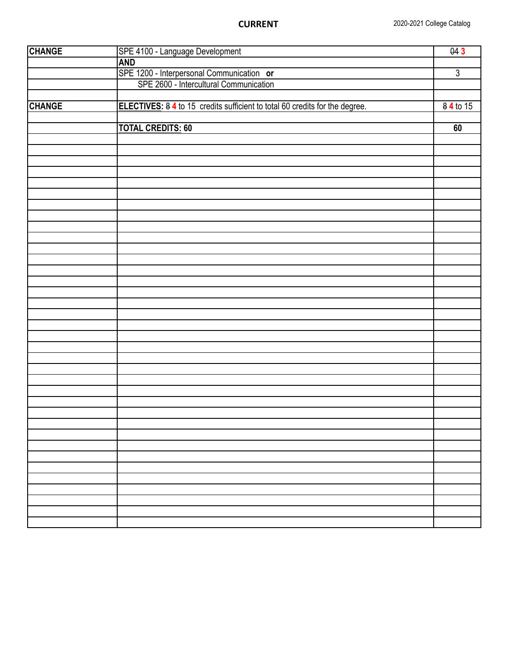| <b>CHANGE</b> | SPE 4100 - Language Development                                                     | $\overline{043}$ |
|---------------|-------------------------------------------------------------------------------------|------------------|
|               | <b>AND</b>                                                                          |                  |
|               |                                                                                     | $\overline{3}$   |
|               | SPE 1200 - Interpersonal Communication or<br>SPE 2600 - Intercultural Communication |                  |
|               |                                                                                     |                  |
| <b>CHANGE</b> | ELECTIVES: 8 4 to 15 credits sufficient to total 60 credits for the degree.         | 84 to 15         |
|               |                                                                                     |                  |
|               | <b>TOTAL CREDITS: 60</b>                                                            | 60               |
|               |                                                                                     |                  |
|               |                                                                                     |                  |
|               |                                                                                     |                  |
|               |                                                                                     |                  |
|               |                                                                                     |                  |
|               |                                                                                     |                  |
|               |                                                                                     |                  |
|               |                                                                                     |                  |
|               |                                                                                     |                  |
|               |                                                                                     |                  |
|               |                                                                                     |                  |
|               |                                                                                     |                  |
|               |                                                                                     |                  |
|               |                                                                                     |                  |
|               |                                                                                     |                  |
|               |                                                                                     |                  |
|               |                                                                                     |                  |
|               |                                                                                     |                  |
|               |                                                                                     |                  |
|               |                                                                                     |                  |
|               |                                                                                     |                  |
|               |                                                                                     |                  |
|               |                                                                                     |                  |
|               |                                                                                     |                  |
|               |                                                                                     |                  |
|               |                                                                                     |                  |
|               |                                                                                     |                  |
|               |                                                                                     |                  |
|               |                                                                                     |                  |
|               |                                                                                     |                  |
|               |                                                                                     |                  |
|               |                                                                                     |                  |
|               |                                                                                     |                  |
|               |                                                                                     |                  |
|               |                                                                                     |                  |
|               |                                                                                     |                  |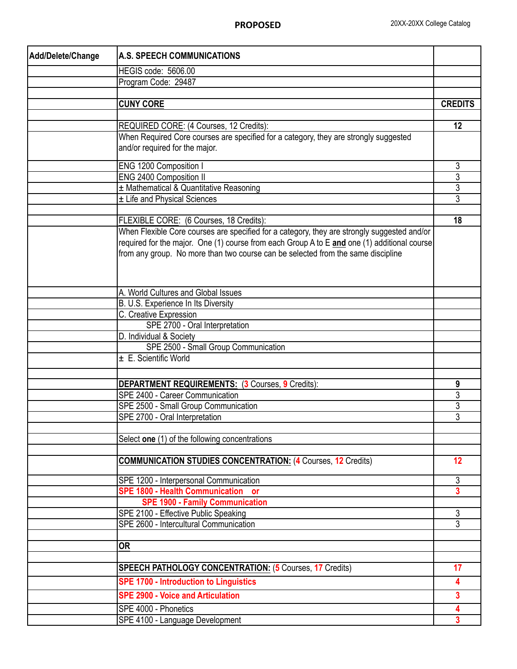| Add/Delete/Change | <b>A.S. SPEECH COMMUNICATIONS</b>                                                           |                     |  |  |
|-------------------|---------------------------------------------------------------------------------------------|---------------------|--|--|
|                   | HEGIS code: 5606.00                                                                         |                     |  |  |
|                   | Program Code: 29487                                                                         |                     |  |  |
|                   |                                                                                             |                     |  |  |
|                   | <b>CUNY CORE</b>                                                                            | <b>CREDITS</b>      |  |  |
|                   |                                                                                             |                     |  |  |
|                   | REQUIRED CORE: (4 Courses, 12 Credits):                                                     | 12                  |  |  |
|                   | When Required Core courses are specified for a category, they are strongly suggested        |                     |  |  |
|                   | and/or required for the major.                                                              |                     |  |  |
|                   |                                                                                             |                     |  |  |
|                   | ENG 1200 Composition I<br><b>ENG 2400 Composition II</b>                                    | 3<br>$\overline{3}$ |  |  |
|                   | ± Mathematical & Quantitative Reasoning                                                     |                     |  |  |
|                   |                                                                                             | 3<br>3              |  |  |
|                   | ± Life and Physical Sciences                                                                |                     |  |  |
|                   | FLEXIBLE CORE: (6 Courses, 18 Credits):                                                     | 18                  |  |  |
|                   | When Flexible Core courses are specified for a category, they are strongly suggested and/or |                     |  |  |
|                   | required for the major. One (1) course from each Group A to E and one (1) additional course |                     |  |  |
|                   | from any group. No more than two course can be selected from the same discipline            |                     |  |  |
|                   |                                                                                             |                     |  |  |
|                   |                                                                                             |                     |  |  |
|                   |                                                                                             |                     |  |  |
|                   | A. World Cultures and Global Issues                                                         |                     |  |  |
|                   | B. U.S. Experience In Its Diversity                                                         |                     |  |  |
|                   | C. Creative Expression                                                                      |                     |  |  |
|                   | SPE 2700 - Oral Interpretation                                                              |                     |  |  |
|                   | D. Individual & Society                                                                     |                     |  |  |
|                   | SPE 2500 - Small Group Communication                                                        |                     |  |  |
|                   | $\pm$ E. Scientific World                                                                   |                     |  |  |
|                   |                                                                                             |                     |  |  |
|                   | <b>DEPARTMENT REQUIREMENTS: (3 Courses, 9 Credits):</b>                                     | 9                   |  |  |
|                   | SPE 2400 - Career Communication                                                             | $\overline{3}$      |  |  |
|                   | SPE 2500 - Small Group Communication                                                        | 3                   |  |  |
|                   | SPE 2700 - Oral Interpretation                                                              | 3                   |  |  |
|                   |                                                                                             |                     |  |  |
|                   | Select one (1) of the following concentrations                                              |                     |  |  |
|                   |                                                                                             |                     |  |  |
|                   | <b>COMMUNICATION STUDIES CONCENTRATION: (4 Courses, 12 Credits)</b>                         | 12                  |  |  |
|                   | SPE 1200 - Interpersonal Communication                                                      | 3                   |  |  |
|                   | SPE 1800 - Health Communication or                                                          | $\overline{3}$      |  |  |
|                   | <b>SPE 1900 - Family Communication</b>                                                      |                     |  |  |
|                   | SPE 2100 - Effective Public Speaking                                                        | $\mathfrak{Z}$      |  |  |
|                   | SPE 2600 - Intercultural Communication                                                      | $\overline{3}$      |  |  |
|                   |                                                                                             |                     |  |  |
|                   | <b>OR</b>                                                                                   |                     |  |  |
|                   |                                                                                             |                     |  |  |
|                   | <b>SPEECH PATHOLOGY CONCENTRATION: (5 Courses, 17 Credits)</b>                              | 17                  |  |  |
|                   | <b>SPE 1700 - Introduction to Linguistics</b>                                               | 4                   |  |  |
|                   | <b>SPE 2900 - Voice and Articulation</b>                                                    | 3                   |  |  |
|                   |                                                                                             |                     |  |  |
|                   | SPE 4000 - Phonetics                                                                        | 4                   |  |  |
|                   | SPE 4100 - Language Development                                                             | 3                   |  |  |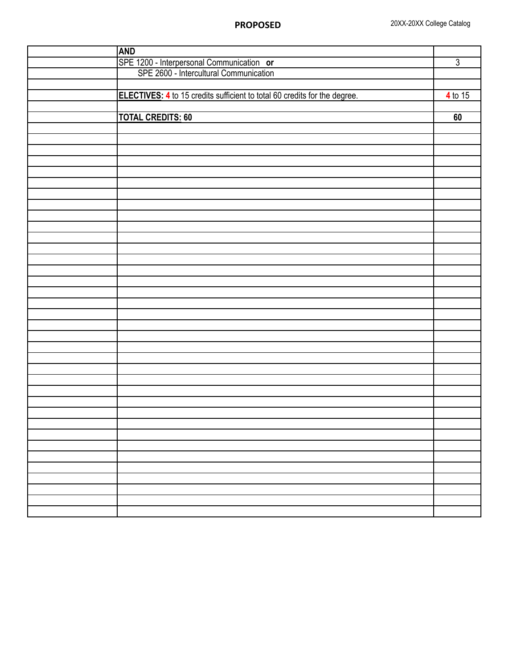| <b>AND</b>                                                                          |                     |
|-------------------------------------------------------------------------------------|---------------------|
|                                                                                     | $\overline{\omega}$ |
| SPE 1200 - Interpersonal Communication or<br>SPE 2600 - Intercultural Communication |                     |
|                                                                                     |                     |
| <b>ELECTIVES: 4</b> to 15 credits sufficient to total 60 credits for the degree.    | $4$ to 15           |
|                                                                                     |                     |
| <b>TOTAL CREDITS: 60</b>                                                            | 60                  |
|                                                                                     |                     |
|                                                                                     |                     |
|                                                                                     |                     |
|                                                                                     |                     |
|                                                                                     |                     |
|                                                                                     |                     |
|                                                                                     |                     |
|                                                                                     |                     |
|                                                                                     |                     |
|                                                                                     |                     |
|                                                                                     |                     |
|                                                                                     |                     |
|                                                                                     |                     |
|                                                                                     |                     |
|                                                                                     |                     |
|                                                                                     |                     |
|                                                                                     |                     |
|                                                                                     |                     |
|                                                                                     |                     |
|                                                                                     |                     |
|                                                                                     |                     |
|                                                                                     |                     |
|                                                                                     |                     |
|                                                                                     |                     |
|                                                                                     |                     |
|                                                                                     |                     |
|                                                                                     |                     |
|                                                                                     |                     |
|                                                                                     |                     |
|                                                                                     |                     |
|                                                                                     |                     |
|                                                                                     |                     |
|                                                                                     |                     |
|                                                                                     |                     |
|                                                                                     |                     |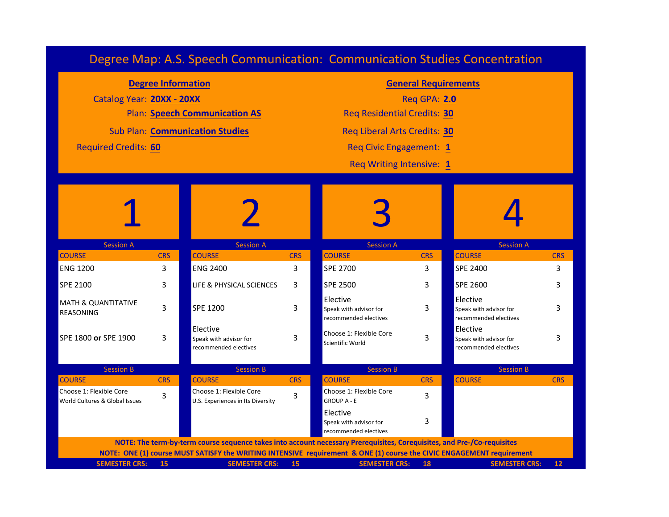# Degree Map: A.S. Speech Communication: Communication Studies Concentration

| <b>Degree Information</b>              | <b>General Requirements</b>         |
|----------------------------------------|-------------------------------------|
| Catalog Year: 20XX - 20XX              | <b>Reg GPA: 2.0</b>                 |
| <b>Plan: Speech Communication AS</b>   | <b>Reg Residential Credits: 30</b>  |
| <b>Sub Plan: Communication Studies</b> | <b>Req Liberal Arts Credits: 30</b> |
| <b>Required Credits: 60</b>            | Req Civic Engagement: 1             |
|                                        | Req Writing Intensive: 1            |

| <b>Session A</b>                                                                                                        |            | <b>Session A</b>                                             |            | <b>Session A</b>                                            |            | <b>Session A</b>                                            |                 |
|-------------------------------------------------------------------------------------------------------------------------|------------|--------------------------------------------------------------|------------|-------------------------------------------------------------|------------|-------------------------------------------------------------|-----------------|
| <b>COURSE</b>                                                                                                           | <b>CRS</b> | <b>COURSE</b>                                                | <b>CRS</b> | <b>COURSE</b>                                               | <b>CRS</b> | <b>COURSE</b>                                               | <b>CRS</b>      |
| <b>ENG 1200</b>                                                                                                         | 3          | <b>ENG 2400</b>                                              | 3          | <b>SPE 2700</b>                                             | 3          | <b>SPE 2400</b>                                             | 3               |
| <b>SPE 2100</b>                                                                                                         | 3          | LIFE & PHYSICAL SCIENCES                                     | 3          | <b>SPE 2500</b>                                             | 3          | SPE 2600                                                    | 3               |
| <b>MATH &amp; QUANTITATIVE</b><br>REASONING                                                                             | 3          | <b>SPE 1200</b>                                              | 3          | Elective<br>Speak with advisor for<br>recommended electives | 3          | Elective<br>Speak with advisor for<br>recommended electives | 3               |
| SPE 1800 or SPE 1900                                                                                                    | 3          | Elective<br>Speak with advisor for<br>recommended electives  | 3          | Choose 1: Flexible Core<br>Scientific World                 | 3          | Elective<br>Speak with advisor for<br>recommended electives | 3               |
| <b>Session B</b>                                                                                                        |            | <b>Session B</b>                                             |            | <b>Session B</b>                                            |            | <b>Session B</b>                                            |                 |
| <b>COURSE</b>                                                                                                           | <b>CRS</b> | <b>COURSE</b>                                                | <b>CRS</b> | <b>COURSE</b>                                               | <b>CRS</b> | <b>COURSE</b>                                               | <b>CRS</b>      |
| Choose 1: Flexible Core<br>World Cultures & Global Issues                                                               | 3          | Choose 1: Flexible Core<br>U.S. Experiences in Its Diversity | 3          | Choose 1: Flexible Core<br><b>GROUP A - E</b>               | 3          |                                                             |                 |
|                                                                                                                         |            |                                                              |            | Elective<br>Speak with advisor for<br>recommended electives | 3          |                                                             |                 |
| NOTE: The term-by-term course sequence takes into account necessary Prerequisites, Corequisites, and Pre-/Co-requisites |            |                                                              |            |                                                             |            |                                                             |                 |
| NOTE: ONE (1) course MUST SATISFY the WRITING INTENSIVE requirement & ONE (1) course the CIVIC ENGAGEMENT requirement   |            |                                                              |            |                                                             |            |                                                             |                 |
| <b>SEMESTER CRS:</b>                                                                                                    | 15         | <b>SEMESTER CRS:</b>                                         | <b>15</b>  | <b>SEMESTER CRS:</b>                                        | 18         | <b>SEMESTER CRS:</b>                                        | 12 <sup>2</sup> |